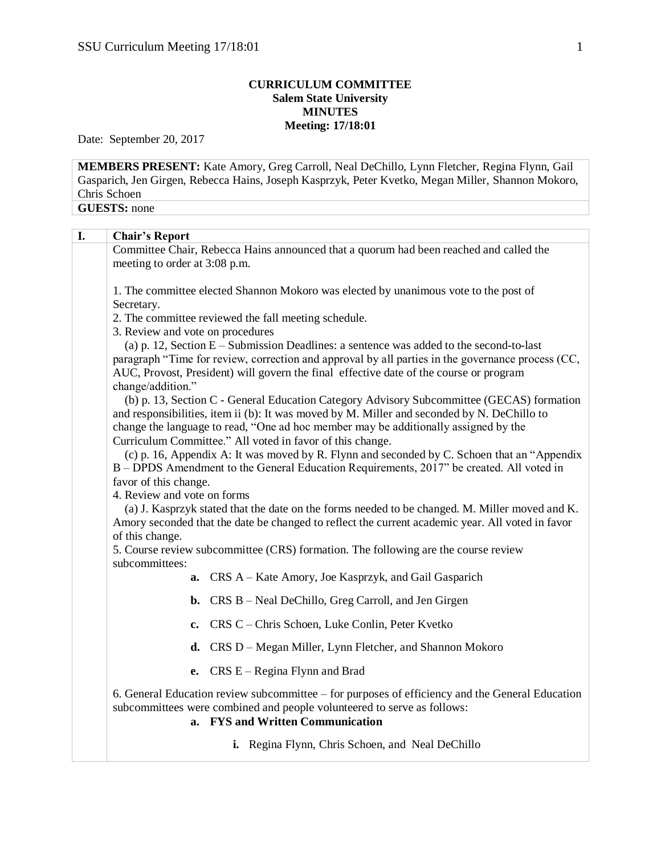## **CURRICULUM COMMITTEE Salem State University MINUTES Meeting: 17/18:01**

Date: September 20, 2017

**MEMBERS PRESENT:** Kate Amory, Greg Carroll, Neal DeChillo, Lynn Fletcher, Regina Flynn, Gail Gasparich, Jen Girgen, Rebecca Hains, Joseph Kasprzyk, Peter Kvetko, Megan Miller, Shannon Mokoro, Chris Schoen **GUESTS:** none

| I. |                                                                                                                                                                                                                       |
|----|-----------------------------------------------------------------------------------------------------------------------------------------------------------------------------------------------------------------------|
|    | <b>Chair's Report</b>                                                                                                                                                                                                 |
|    | Committee Chair, Rebecca Hains announced that a quorum had been reached and called the<br>meeting to order at 3:08 p.m.                                                                                               |
|    |                                                                                                                                                                                                                       |
|    | 1. The committee elected Shannon Mokoro was elected by unanimous vote to the post of                                                                                                                                  |
|    | Secretary.<br>2. The committee reviewed the fall meeting schedule.                                                                                                                                                    |
|    | 3. Review and vote on procedures                                                                                                                                                                                      |
|    | (a) p. 12, Section $E -$ Submission Deadlines: a sentence was added to the second-to-last                                                                                                                             |
|    | paragraph "Time for review, correction and approval by all parties in the governance process (CC,<br>AUC, Provost, President) will govern the final effective date of the course or program                           |
|    | change/addition."                                                                                                                                                                                                     |
|    | (b) p. 13, Section C - General Education Category Advisory Subcommittee (GECAS) formation<br>and responsibilities, item ii (b): It was moved by M. Miller and seconded by N. DeChillo to                              |
|    | change the language to read, "One ad hoc member may be additionally assigned by the                                                                                                                                   |
|    | Curriculum Committee." All voted in favor of this change.<br>(c) p. 16, Appendix A: It was moved by R. Flynn and seconded by C. Schoen that an "Appendix                                                              |
|    | B - DPDS Amendment to the General Education Requirements, 2017" be created. All voted in                                                                                                                              |
|    | favor of this change.                                                                                                                                                                                                 |
|    | 4. Review and vote on forms                                                                                                                                                                                           |
|    | (a) J. Kasprzyk stated that the date on the forms needed to be changed. M. Miller moved and K.<br>Amory seconded that the date be changed to reflect the current academic year. All voted in favor<br>of this change. |
|    | 5. Course review subcommittee (CRS) formation. The following are the course review                                                                                                                                    |
|    | subcommittees:                                                                                                                                                                                                        |
|    | a. CRS A – Kate Amory, Joe Kasprzyk, and Gail Gasparich                                                                                                                                                               |
|    | <b>b.</b> CRS B – Neal DeChillo, Greg Carroll, and Jen Girgen                                                                                                                                                         |
|    | c. CRS C – Chris Schoen, Luke Conlin, Peter Kvetko                                                                                                                                                                    |
|    | CRS D – Megan Miller, Lynn Fletcher, and Shannon Mokoro<br>d.                                                                                                                                                         |
|    | e. $CRS E - Regina Flynn$ and Brad                                                                                                                                                                                    |
|    | 6. General Education review subcommittee – for purposes of efficiency and the General Education<br>subcommittees were combined and people volunteered to serve as follows:<br>a. FYS and Written Communication        |
|    | i. Regina Flynn, Chris Schoen, and Neal DeChillo                                                                                                                                                                      |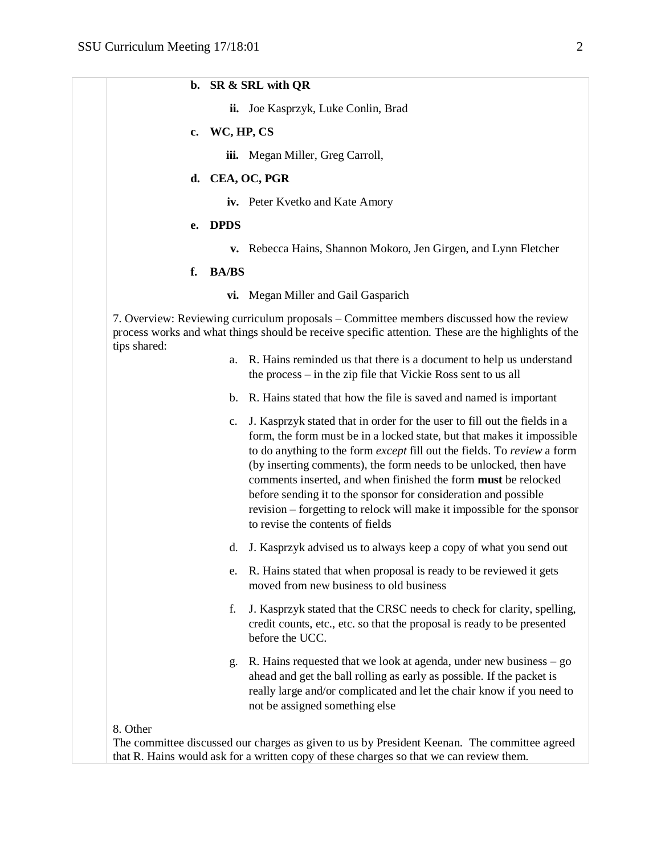**b. SR & SRL with QR**

|              |    |                  | ii. Joe Kasprzyk, Luke Conlin, Brad                                                                                                                                                                                                                                                                                                                                                                                                                                                                                                                     |
|--------------|----|------------------|---------------------------------------------------------------------------------------------------------------------------------------------------------------------------------------------------------------------------------------------------------------------------------------------------------------------------------------------------------------------------------------------------------------------------------------------------------------------------------------------------------------------------------------------------------|
|              |    | c. WC, $HP$ , CS |                                                                                                                                                                                                                                                                                                                                                                                                                                                                                                                                                         |
|              |    | iii.             | Megan Miller, Greg Carroll,                                                                                                                                                                                                                                                                                                                                                                                                                                                                                                                             |
|              |    |                  | d. CEA, OC, PGR                                                                                                                                                                                                                                                                                                                                                                                                                                                                                                                                         |
|              |    |                  | iv. Peter Kvetko and Kate Amory                                                                                                                                                                                                                                                                                                                                                                                                                                                                                                                         |
|              | e. | <b>DPDS</b>      |                                                                                                                                                                                                                                                                                                                                                                                                                                                                                                                                                         |
|              |    | v.               | Rebecca Hains, Shannon Mokoro, Jen Girgen, and Lynn Fletcher                                                                                                                                                                                                                                                                                                                                                                                                                                                                                            |
|              | f. | <b>BA/BS</b>     |                                                                                                                                                                                                                                                                                                                                                                                                                                                                                                                                                         |
|              |    |                  | vi. Megan Miller and Gail Gasparich                                                                                                                                                                                                                                                                                                                                                                                                                                                                                                                     |
| tips shared: |    |                  | 7. Overview: Reviewing curriculum proposals – Committee members discussed how the review<br>process works and what things should be receive specific attention. These are the highlights of the                                                                                                                                                                                                                                                                                                                                                         |
|              |    | a.               | R. Hains reminded us that there is a document to help us understand<br>the process – in the zip file that Vickie Ross sent to us all                                                                                                                                                                                                                                                                                                                                                                                                                    |
|              |    | b.               | R. Hains stated that how the file is saved and named is important                                                                                                                                                                                                                                                                                                                                                                                                                                                                                       |
|              |    | c.               | J. Kasprzyk stated that in order for the user to fill out the fields in a<br>form, the form must be in a locked state, but that makes it impossible<br>to do anything to the form except fill out the fields. To review a form<br>(by inserting comments), the form needs to be unlocked, then have<br>comments inserted, and when finished the form must be relocked<br>before sending it to the sponsor for consideration and possible<br>revision – forgetting to relock will make it impossible for the sponsor<br>to revise the contents of fields |
|              |    | d.               | J. Kasprzyk advised us to always keep a copy of what you send out                                                                                                                                                                                                                                                                                                                                                                                                                                                                                       |
|              |    | e.               | R. Hains stated that when proposal is ready to be reviewed it gets<br>moved from new business to old business                                                                                                                                                                                                                                                                                                                                                                                                                                           |
|              |    | f.               | J. Kasprzyk stated that the CRSC needs to check for clarity, spelling,<br>credit counts, etc., etc. so that the proposal is ready to be presented<br>before the UCC.                                                                                                                                                                                                                                                                                                                                                                                    |
|              |    | g.               | R. Hains requested that we look at agenda, under new business $-$ go<br>ahead and get the ball rolling as early as possible. If the packet is<br>really large and/or complicated and let the chair know if you need to                                                                                                                                                                                                                                                                                                                                  |